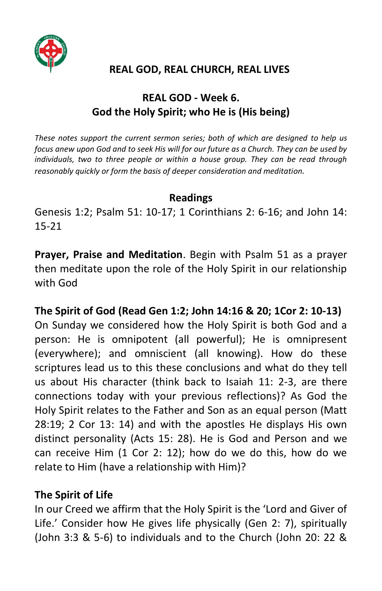

## **REAL GOD, REAL CHURCH, REAL LIVES**

# **REAL GOD - Week 6. God the Holy Spirit; who He is (His being)**

*These notes support the current sermon series; both of which are designed to help us focus anew upon God and to seek His will for our future as a Church. They can be used by individuals, two to three people or within a house group. They can be read through reasonably quickly or form the basis of deeper consideration and meditation.*

#### **Readings**

Genesis 1:2; Psalm 51: 10-17; 1 Corinthians 2: 6-16; and John 14: 15-21

**Prayer, Praise and Meditation**. Begin with Psalm 51 as a prayer then meditate upon the role of the Holy Spirit in our relationship with God

## **The Spirit of God (Read Gen 1:2; John 14:16 & 20; 1Cor 2: 10-13)**

On Sunday we considered how the Holy Spirit is both God and a person: He is omnipotent (all powerful); He is omnipresent (everywhere); and omniscient (all knowing). How do these scriptures lead us to this these conclusions and what do they tell us about His character (think back to Isaiah 11: 2-3, are there connections today with your previous reflections)? As God the Holy Spirit relates to the Father and Son as an equal person (Matt 28:19; 2 Cor 13: 14) and with the apostles He displays His own distinct personality (Acts 15: 28). He is God and Person and we can receive Him (1 Cor 2: 12); how do we do this, how do we relate to Him (have a relationship with Him)?

#### **The Spirit of Life**

In our Creed we affirm that the Holy Spirit is the 'Lord and Giver of Life.' Consider how He gives life physically (Gen 2: 7), spiritually (John 3:3 & 5-6) to individuals and to the Church (John 20: 22 &